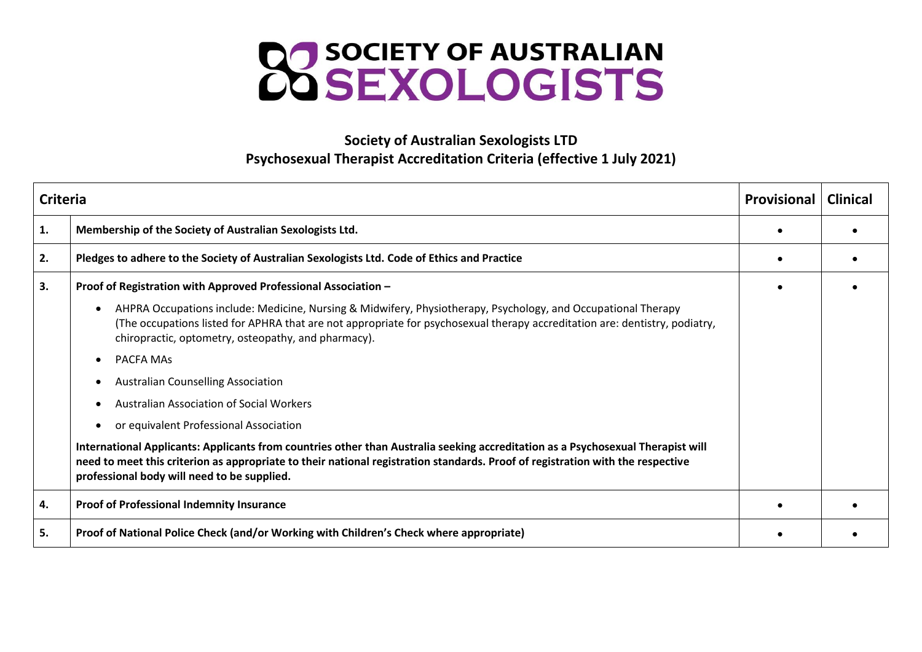

## **Society of Australian Sexologists LTD Psychosexual Therapist Accreditation Criteria (effective 1 July 2021)**

| <b>Criteria</b> |                                                                                                                                                                                                                                                                                                                  | <b>Provisional</b> | <b>Clinical</b> |
|-----------------|------------------------------------------------------------------------------------------------------------------------------------------------------------------------------------------------------------------------------------------------------------------------------------------------------------------|--------------------|-----------------|
| 1.              | Membership of the Society of Australian Sexologists Ltd.                                                                                                                                                                                                                                                         |                    |                 |
| 2.              | Pledges to adhere to the Society of Australian Sexologists Ltd. Code of Ethics and Practice                                                                                                                                                                                                                      |                    |                 |
| 3.              | Proof of Registration with Approved Professional Association -                                                                                                                                                                                                                                                   |                    |                 |
|                 | AHPRA Occupations include: Medicine, Nursing & Midwifery, Physiotherapy, Psychology, and Occupational Therapy<br>(The occupations listed for APHRA that are not appropriate for psychosexual therapy accreditation are: dentistry, podiatry,<br>chiropractic, optometry, osteopathy, and pharmacy).              |                    |                 |
|                 | <b>PACFA MAS</b>                                                                                                                                                                                                                                                                                                 |                    |                 |
|                 | <b>Australian Counselling Association</b>                                                                                                                                                                                                                                                                        |                    |                 |
|                 | <b>Australian Association of Social Workers</b>                                                                                                                                                                                                                                                                  |                    |                 |
|                 | or equivalent Professional Association                                                                                                                                                                                                                                                                           |                    |                 |
|                 | International Applicants: Applicants from countries other than Australia seeking accreditation as a Psychosexual Therapist will<br>need to meet this criterion as appropriate to their national registration standards. Proof of registration with the respective<br>professional body will need to be supplied. |                    |                 |
| 4.              | Proof of Professional Indemnity Insurance                                                                                                                                                                                                                                                                        |                    |                 |
| 5.              | Proof of National Police Check (and/or Working with Children's Check where appropriate)                                                                                                                                                                                                                          |                    |                 |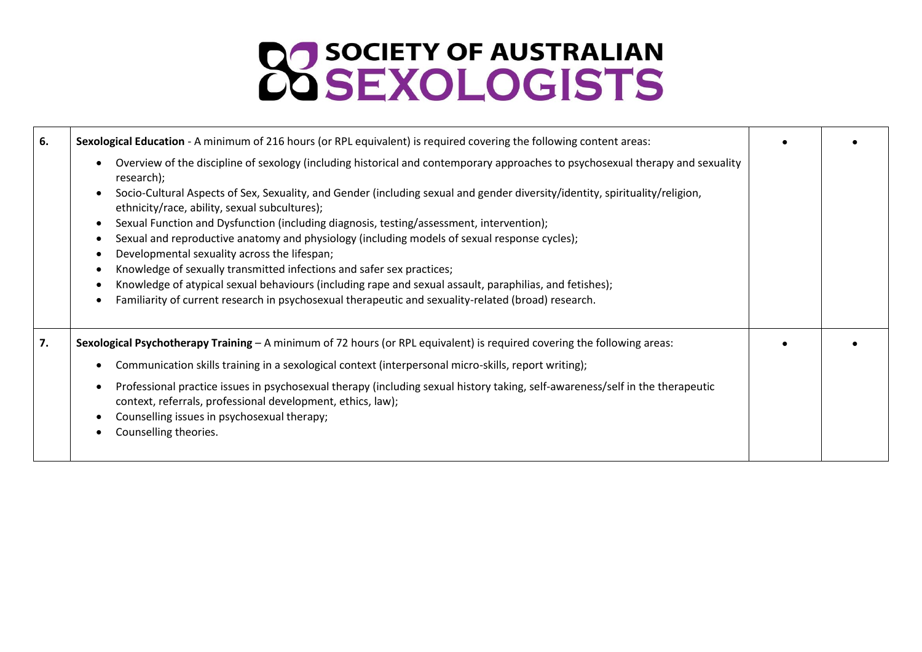## **CO SOCIETY OF AUSTRALIAN**

| 6. | Sexological Education - A minimum of 216 hours (or RPL equivalent) is required covering the following content areas:                                                                                                                                                                                                                                                                                                                                                                                                                                                                                                                                                                                                                                                                                                                                                                                                                                                         |  |
|----|------------------------------------------------------------------------------------------------------------------------------------------------------------------------------------------------------------------------------------------------------------------------------------------------------------------------------------------------------------------------------------------------------------------------------------------------------------------------------------------------------------------------------------------------------------------------------------------------------------------------------------------------------------------------------------------------------------------------------------------------------------------------------------------------------------------------------------------------------------------------------------------------------------------------------------------------------------------------------|--|
|    | Overview of the discipline of sexology (including historical and contemporary approaches to psychosexual therapy and sexuality<br>$\bullet$<br>research);<br>Socio-Cultural Aspects of Sex, Sexuality, and Gender (including sexual and gender diversity/identity, spirituality/religion,<br>$\bullet$<br>ethnicity/race, ability, sexual subcultures);<br>Sexual Function and Dysfunction (including diagnosis, testing/assessment, intervention);<br>$\bullet$<br>Sexual and reproductive anatomy and physiology (including models of sexual response cycles);<br>$\bullet$<br>Developmental sexuality across the lifespan;<br>$\bullet$<br>Knowledge of sexually transmitted infections and safer sex practices;<br>$\bullet$<br>Knowledge of atypical sexual behaviours (including rape and sexual assault, paraphilias, and fetishes);<br>$\bullet$<br>Familiarity of current research in psychosexual therapeutic and sexuality-related (broad) research.<br>$\bullet$ |  |
| 7. | Sexological Psychotherapy Training - A minimum of 72 hours (or RPL equivalent) is required covering the following areas:<br>Communication skills training in a sexological context (interpersonal micro-skills, report writing);<br>$\bullet$<br>Professional practice issues in psychosexual therapy (including sexual history taking, self-awareness/self in the therapeutic<br>$\bullet$<br>context, referrals, professional development, ethics, law);<br>Counselling issues in psychosexual therapy;<br>$\bullet$<br>Counselling theories.<br>$\bullet$                                                                                                                                                                                                                                                                                                                                                                                                                 |  |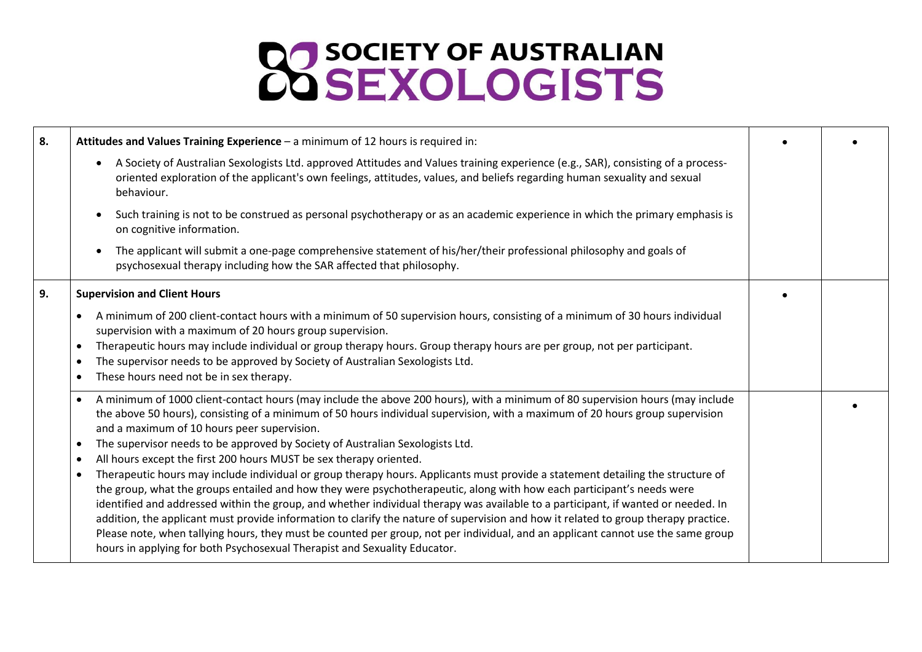## **22 SOCIETY OF AUSTRALIAN**

| 8. | Attitudes and Values Training Experience - a minimum of 12 hours is required in:                                                                                                                                                                                                                                                                                                                                                                                                                                                                                                                                                                                                                                                                                                                                                                                                                                                                                                                                                                                                                                                                                                                                                                                                  |  |
|----|-----------------------------------------------------------------------------------------------------------------------------------------------------------------------------------------------------------------------------------------------------------------------------------------------------------------------------------------------------------------------------------------------------------------------------------------------------------------------------------------------------------------------------------------------------------------------------------------------------------------------------------------------------------------------------------------------------------------------------------------------------------------------------------------------------------------------------------------------------------------------------------------------------------------------------------------------------------------------------------------------------------------------------------------------------------------------------------------------------------------------------------------------------------------------------------------------------------------------------------------------------------------------------------|--|
|    | A Society of Australian Sexologists Ltd. approved Attitudes and Values training experience (e.g., SAR), consisting of a process-<br>$\bullet$<br>oriented exploration of the applicant's own feelings, attitudes, values, and beliefs regarding human sexuality and sexual<br>behaviour.                                                                                                                                                                                                                                                                                                                                                                                                                                                                                                                                                                                                                                                                                                                                                                                                                                                                                                                                                                                          |  |
|    | Such training is not to be construed as personal psychotherapy or as an academic experience in which the primary emphasis is<br>$\bullet$<br>on cognitive information.                                                                                                                                                                                                                                                                                                                                                                                                                                                                                                                                                                                                                                                                                                                                                                                                                                                                                                                                                                                                                                                                                                            |  |
|    | The applicant will submit a one-page comprehensive statement of his/her/their professional philosophy and goals of<br>psychosexual therapy including how the SAR affected that philosophy.                                                                                                                                                                                                                                                                                                                                                                                                                                                                                                                                                                                                                                                                                                                                                                                                                                                                                                                                                                                                                                                                                        |  |
| 9. | <b>Supervision and Client Hours</b>                                                                                                                                                                                                                                                                                                                                                                                                                                                                                                                                                                                                                                                                                                                                                                                                                                                                                                                                                                                                                                                                                                                                                                                                                                               |  |
|    | A minimum of 200 client-contact hours with a minimum of 50 supervision hours, consisting of a minimum of 30 hours individual<br>supervision with a maximum of 20 hours group supervision.<br>Therapeutic hours may include individual or group therapy hours. Group therapy hours are per group, not per participant.<br>$\bullet$<br>The supervisor needs to be approved by Society of Australian Sexologists Ltd.<br>$\bullet$<br>These hours need not be in sex therapy.<br>$\bullet$                                                                                                                                                                                                                                                                                                                                                                                                                                                                                                                                                                                                                                                                                                                                                                                          |  |
|    | A minimum of 1000 client-contact hours (may include the above 200 hours), with a minimum of 80 supervision hours (may include<br>$\bullet$<br>the above 50 hours), consisting of a minimum of 50 hours individual supervision, with a maximum of 20 hours group supervision<br>and a maximum of 10 hours peer supervision.<br>The supervisor needs to be approved by Society of Australian Sexologists Ltd.<br>$\bullet$<br>All hours except the first 200 hours MUST be sex therapy oriented.<br>$\bullet$<br>Therapeutic hours may include individual or group therapy hours. Applicants must provide a statement detailing the structure of<br>$\bullet$<br>the group, what the groups entailed and how they were psychotherapeutic, along with how each participant's needs were<br>identified and addressed within the group, and whether individual therapy was available to a participant, if wanted or needed. In<br>addition, the applicant must provide information to clarify the nature of supervision and how it related to group therapy practice.<br>Please note, when tallying hours, they must be counted per group, not per individual, and an applicant cannot use the same group<br>hours in applying for both Psychosexual Therapist and Sexuality Educator. |  |